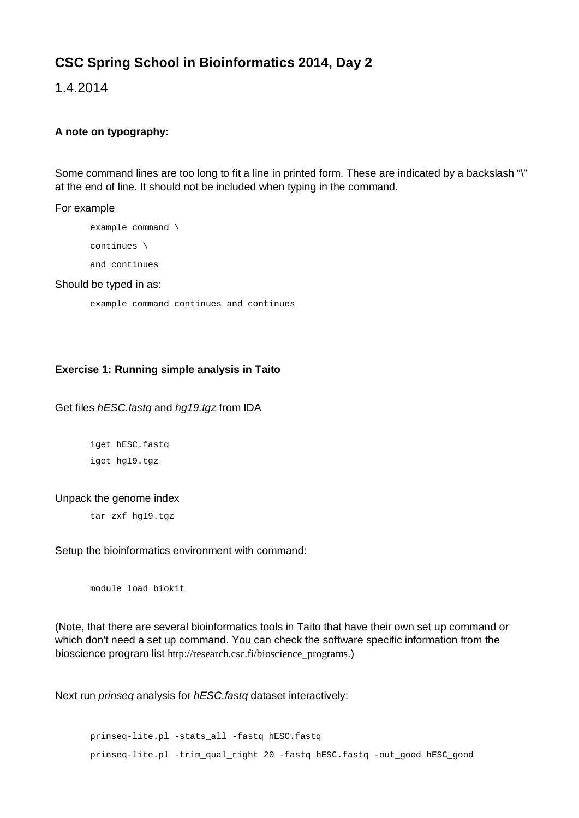# **CSC Spring School in Bioinformatics 2014, Day 2**

1.4.2014

### **A note on typography:**

Some command lines are too long to fit a line in printed form. These are indicated by a backslash "\" at the end of line. It should not be included when typing in the command.

#### For example

example command \ continues \ and continues

#### Should be typed in as:

example command continues and continues

### **Exercise 1: Running simple analysis in Taito**

Get files *hESC.fastq* and *hg19.tgz* from IDA

iget hESC.fastq iget hg19.tgz

#### Unpack the genome index

tar zxf hg19.tgz

Setup the bioinformatics environment with command:

module load biokit

(Note, that there are several bioinformatics tools in Taito that have their own set up command or which don't need a set up command. You can check the software specific information from the bioscience program list http://research.csc.fi/bioscience\_programs.)

Next run *prinseq* analysis for *hESC.fastq* dataset interactively:

```
prinseq-lite.pl -stats_all -fastq hESC.fastq
prinseq-lite.pl -trim_qual_right 20 -fastq hESC.fastq -out_good hESC_good
```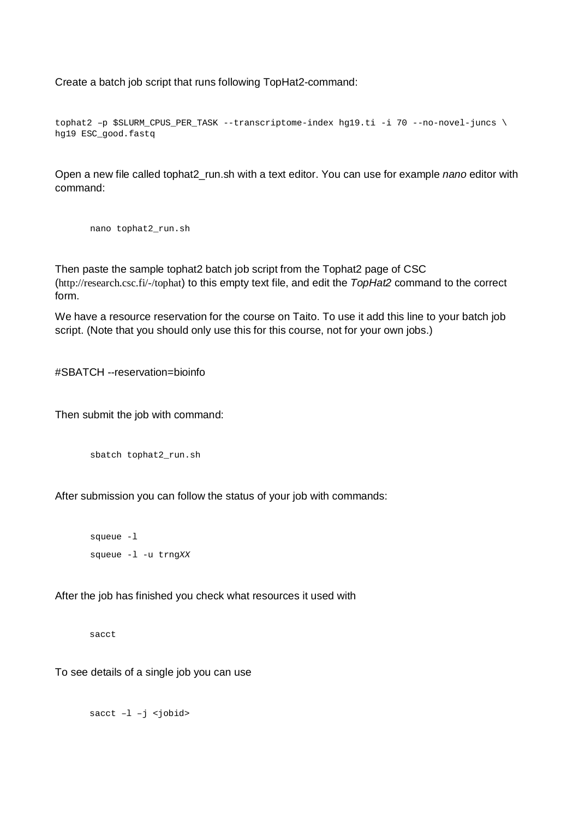Create a batch job script that runs following TopHat2-command:

```
tophat2 –p $SLURM_CPUS_PER_TASK --transcriptome-index hg19.ti -i 70 --no-novel-juncs \
hg19 ESC_good.fastq
```
Open a new file called tophat2\_run.sh with a text editor. You can use for example *nano* editor with command:

nano tophat2\_run.sh

Then paste the sample tophat2 batch job script from the Tophat2 page of CSC (http://research.csc.fi/-/tophat) to this empty text file, and edit the *TopHat2* command to the correct form.

We have a resource reservation for the course on Taito. To use it add this line to your batch job script. (Note that you should only use this for this course, not for your own jobs.)

#SBATCH --reservation=bioinfo

Then submit the job with command:

sbatch tophat2\_run.sh

After submission you can follow the status of your job with commands:

```
squeue -l
squeue -l -u trngXX
```
After the job has finished you check what resources it used with

sacct

To see details of a single job you can use

sacct -1 -j <jobid>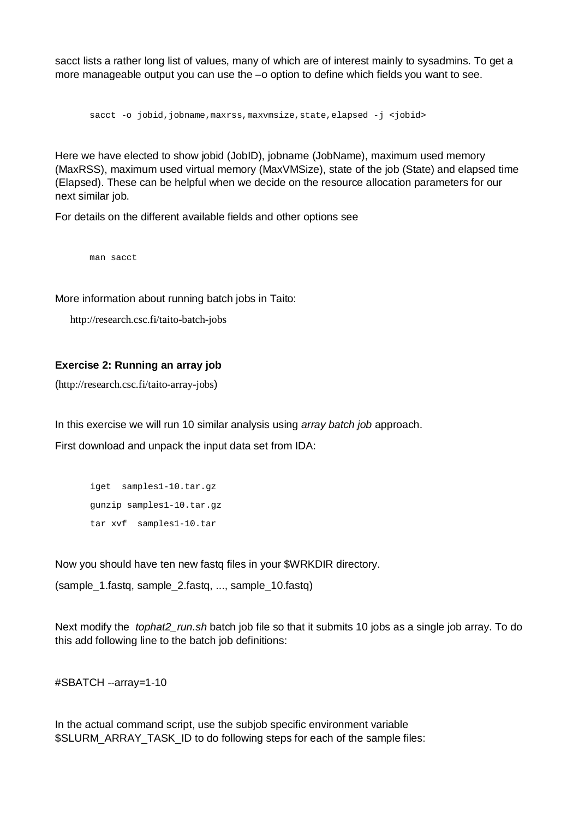sacct lists a rather long list of values, many of which are of interest mainly to sysadmins. To get a more manageable output you can use the –o option to define which fields you want to see.

```
sacct -o jobid, jobname, maxrss, maxvmsize, state, elapsed -j <jobid>
```
Here we have elected to show jobid (JobID), jobname (JobName), maximum used memory (MaxRSS), maximum used virtual memory (MaxVMSize), state of the job (State) and elapsed time (Elapsed). These can be helpful when we decide on the resource allocation parameters for our next similar job.

For details on the different available fields and other options see

man sacct

More information about running batch jobs in Taito:

http://research.csc.fi/taito-batch-jobs

### **Exercise 2: Running an array job**

(http://research.csc.fi/taito-array-jobs)

In this exercise we will run 10 similar analysis using *array batch job* approach.

First download and unpack the input data set from IDA:

```
iget samples1-10.tar.gz
gunzip samples1-10.tar.gz
tar xvf samples1-10.tar
```
Now you should have ten new fastq files in your \$WRKDIR directory.

(sample\_1.fastq, sample\_2.fastq, ..., sample\_10.fastq)

Next modify the *tophat2\_run.sh* batch job file so that it submits 10 jobs as a single job array. To do this add following line to the batch job definitions:

#SBATCH --array=1-10

In the actual command script, use the subjob specific environment variable \$SLURM\_ARRAY\_TASK\_ID to do following steps for each of the sample files: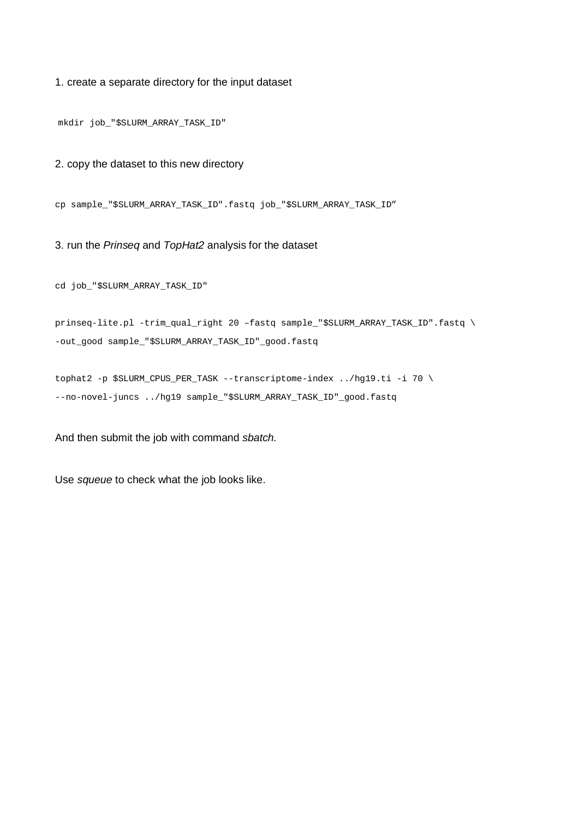#### 1. create a separate directory for the input dataset

mkdir job\_"\$SLURM\_ARRAY\_TASK\_ID"

2. copy the dataset to this new directory

cp sample\_"\$SLURM\_ARRAY\_TASK\_ID".fastq job\_"\$SLURM\_ARRAY\_TASK\_ID"

#### 3. run the *Prinseq* and *TopHat2* analysis for the dataset

cd job\_"\$SLURM\_ARRAY\_TASK\_ID"

```
prinseq-lite.pl -trim_qual_right 20 –fastq sample_"$SLURM_ARRAY_TASK_ID".fastq \
-out_good sample_"$SLURM_ARRAY_TASK_ID"_good.fastq
```
tophat2 -p \$SLURM\_CPUS\_PER\_TASK --transcriptome-index ../hq19.ti -i 70 \ --no-novel-juncs ../hg19 sample\_"\$SLURM\_ARRAY\_TASK\_ID"\_good.fastq

And then submit the job with command *sbatch.*

Use *squeue* to check what the job looks like.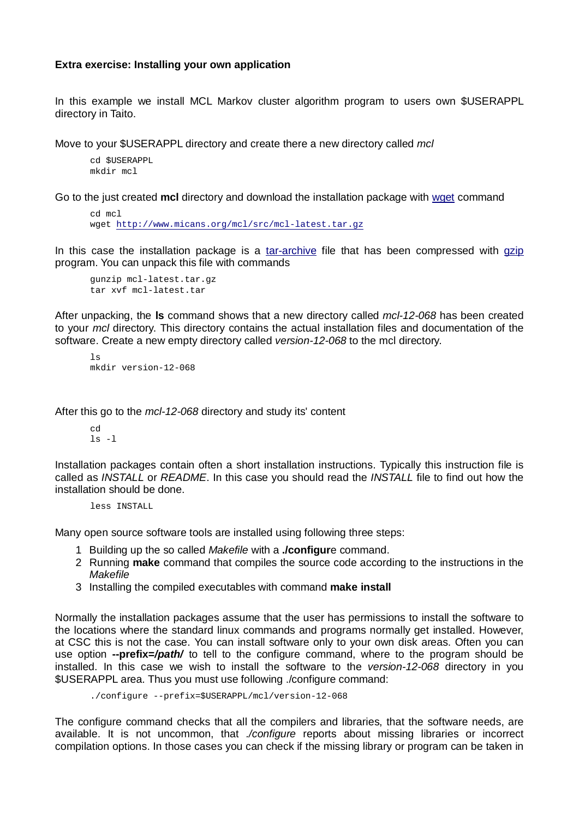#### **Extra exercise: Installing your own application**

In this example we install MCL Markov cluster algorithm program to users own \$USERAPPL directory in Taito.

Move to your \$USERAPPL directory and create there a new directory called *mcl*

```
cd $USERAPPL
mkdir mcl
```
Go to the just created **mcl** directory and download the installation package with wget command

```
cd mcl
wget http://www.micans.org/mcl/src/mcl-latest.tar.gz
```
In this case the installation package is a tar-archive file that has been compressed with gzip program. You can unpack this file with commands

```
gunzip mcl-latest.tar.gz
tar xvf mcl-latest.tar
```
After unpacking, the **ls** command shows that a new directory called *mcl-12-068* has been created to your *mcl* directory. This directory contains the actual installation files and documentation of the software. Create a new empty directory called *version-12-068* to the mcl directory.

```
\overline{1} d
mkdir version-12-068
```
After this go to the *mcl-12-068* directory and study its' content

```
cd
ls -l
```
Installation packages contain often a short installation instructions. Typically this instruction file is called as *INSTALL* or *README*. In this case you should read the *INSTALL* file to find out how the installation should be done.

less INSTALL

Many open source software tools are installed using following three steps:

- 1 Building up the so called *Makefile* with a **./configur**e command.
- 2 Running **make** command that compiles the source code according to the instructions in the *Makefile*
- 3 Installing the compiled executables with command **make install**

Normally the installation packages assume that the user has permissions to install the software to the locations where the standard linux commands and programs normally get installed. However, at CSC this is not the case. You can install software only to your own disk areas. Often you can use option **--prefix=***/path/* to tell to the configure command, where to the program should be installed. In this case we wish to install the software to the *version-12-068* directory in you \$USERAPPL area. Thus you must use following ./configure command:

./configure --prefix=\$USERAPPL/mcl/version-12-068

The configure command checks that all the compilers and libraries, that the software needs, are available. It is not uncommon, that *./configure* reports about missing libraries or incorrect compilation options. In those cases you can check if the missing library or program can be taken in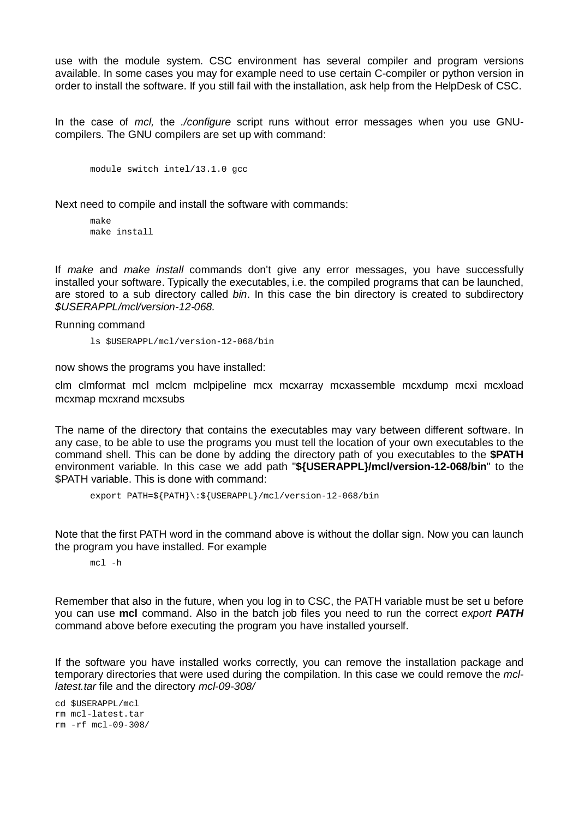use with the module system. CSC environment has several compiler and program versions available. In some cases you may for example need to use certain C-compiler or python version in order to install the software. If you still fail with the installation, ask help from the HelpDesk of CSC.

In the case of *mcl,* the *./configure* script runs without error messages when you use GNUcompilers. The GNU compilers are set up with command:

module switch intel/13.1.0 gcc

Next need to compile and install the software with commands:

make make install

If *make* and *make install* commands don't give any error messages, you have successfully installed your software. Typically the executables, i.e. the compiled programs that can be launched, are stored to a sub directory called *bin*. In this case the bin directory is created to subdirectory *\$USERAPPL/mcl/version-12-068.*

#### Running command

ls \$USERAPPL/mcl/version-12-068/bin

now shows the programs you have installed:

clm clmformat mcl mclcm mclpipeline mcx mcxarray mcxassemble mcxdump mcxi mcxload mcxmap mcxrand mcxsubs

The name of the directory that contains the executables may vary between different software. In any case, to be able to use the programs you must tell the location of your own executables to the command shell. This can be done by adding the directory path of you executables to the **\$PATH** environment variable. In this case we add path "**\${USERAPPL}/mcl/version-12-068/bin**" to the \$PATH variable. This is done with command:

```
export PATH=${PATH}\:${USERAPPL}/mcl/version-12-068/bin
```
Note that the first PATH word in the command above is without the dollar sign. Now you can launch the program you have installed. For example

mcl -h

Remember that also in the future, when you log in to CSC, the PATH variable must be set u before you can use **mcl** command. Also in the batch job files you need to run the correct *export PATH* command above before executing the program you have installed yourself.

If the software you have installed works correctly, you can remove the installation package and temporary directories that were used during the compilation. In this case we could remove the *mcllatest.tar* file and the directory *mcl-09-308/*

```
cd $USERAPPL/mcl
rm mcl-latest.tar
rm -rf mcl-09-308/
```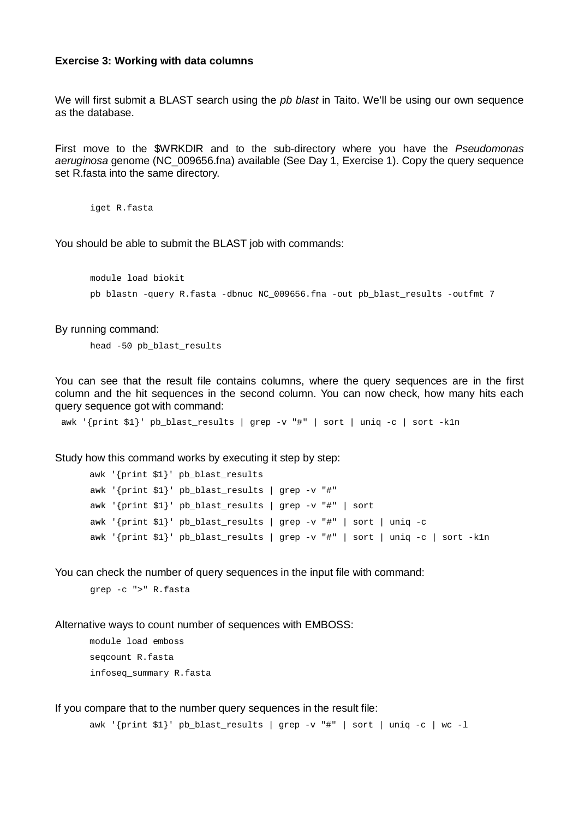#### **Exercise 3: Working with data columns**

We will first submit a BLAST search using the *pb blast* in Taito. We'll be using our own sequence as the database.

First move to the \$WRKDIR and to the sub-directory where you have the *Pseudomonas aeruginosa* genome (NC\_009656.fna) available (See Day 1, Exercise 1). Copy the query sequence set R.fasta into the same directory.

iget R.fasta

You should be able to submit the BLAST job with commands:

module load biokit pb blastn -query R.fasta -dbnuc NC\_009656.fna -out pb\_blast\_results -outfmt 7

By running command:

head -50 pb\_blast\_results

You can see that the result file contains columns, where the query sequences are in the first column and the hit sequences in the second column. You can now check, how many hits each query sequence got with command:

awk '{print \$1}' pb\_blast\_results | grep -v "#" | sort | uniq -c | sort -k1n

Study how this command works by executing it step by step:

```
awk '{print $1}' pb_blast_results
awk '{print $1}' pb_blast_results | grep -v "#"
awk '{print $1}' pb_blast_results | grep -v "#" | sort
awk '{print $1}' pb_blast_results | grep -v "#" | sort | uniq -c
awk '{print $1}' pb_blast_results | grep -v "#" | sort | uniq -c | sort -k1n
```
You can check the number of query sequences in the input file with command:

grep -c ">" R.fasta

Alternative ways to count number of sequences with EMBOSS:

module load emboss seqcount R.fasta infoseq\_summary R.fasta

If you compare that to the number query sequences in the result file:

awk '{print \$1}' pb\_blast\_results | grep -v "#" | sort | uniq -c | wc -l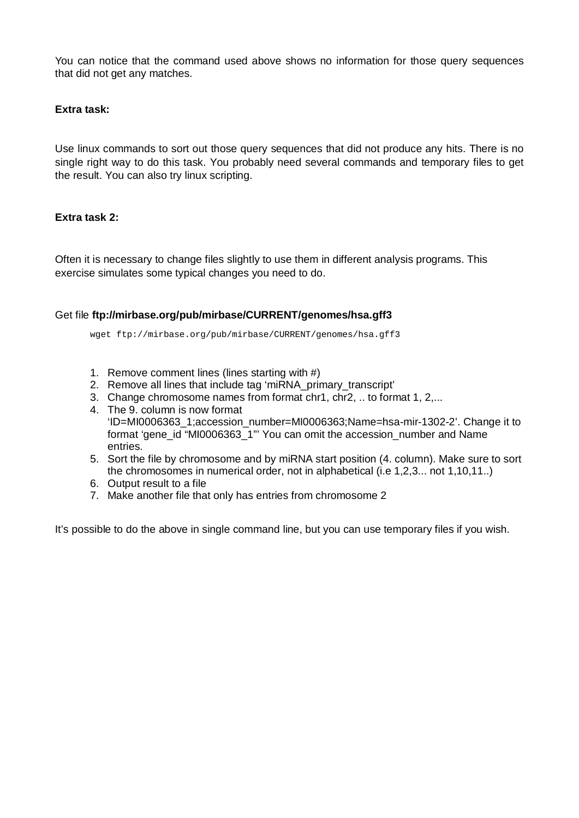You can notice that the command used above shows no information for those query sequences that did not get any matches.

### **Extra task:**

Use linux commands to sort out those query sequences that did not produce any hits. There is no single right way to do this task. You probably need several commands and temporary files to get the result. You can also try linux scripting.

### **Extra task 2:**

Often it is necessary to change files slightly to use them in different analysis programs. This exercise simulates some typical changes you need to do.

### Get file **ftp://mirbase.org/pub/mirbase/CURRENT/genomes/hsa.gff3**

wget ftp://mirbase.org/pub/mirbase/CURRENT/genomes/hsa.gff3

- 1. Remove comment lines (lines starting with #)
- 2. Remove all lines that include tag 'miRNA\_primary\_transcript'
- 3. Change chromosome names from format chr1, chr2, .. to format 1, 2,...
- 4. The 9. column is now format 'ID=MI0006363\_1;accession\_number=MI0006363;Name=hsa-mir-1302-2'. Change it to format 'gene\_id "MI0006363\_1"' You can omit the accession\_number and Name entries.
- 5. Sort the file by chromosome and by miRNA start position (4. column). Make sure to sort the chromosomes in numerical order, not in alphabetical (i.e 1,2,3... not 1,10,11..)
- 6. Output result to a file
- 7. Make another file that only has entries from chromosome 2

It's possible to do the above in single command line, but you can use temporary files if you wish.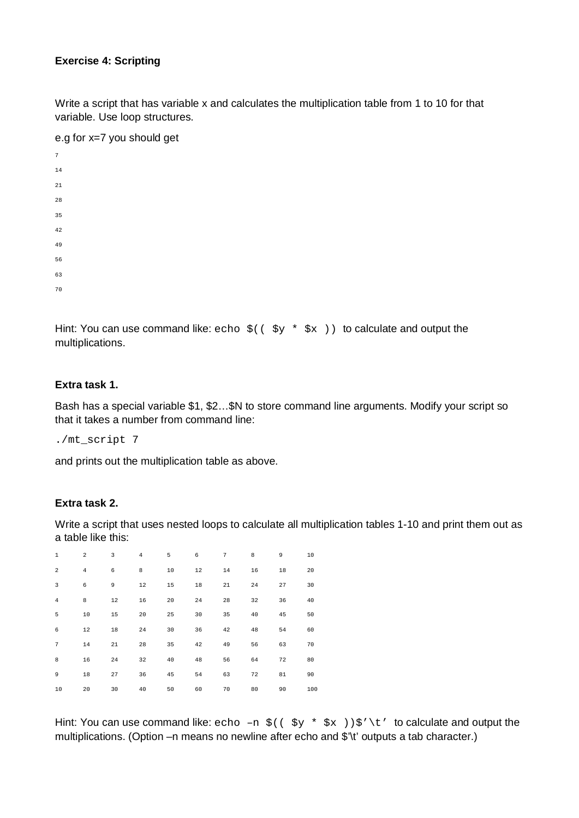### **Exercise 4: Scripting**

Write a script that has variable x and calculates the multiplication table from 1 to 10 for that variable. Use loop structures.

e.g for x=7 you should get

| $\boldsymbol{7}$ |  |  |  |
|------------------|--|--|--|
| 14               |  |  |  |
| $2\sqrt{1}$      |  |  |  |
| 28               |  |  |  |
| 35               |  |  |  |
| 42               |  |  |  |
| 49               |  |  |  |
| 56               |  |  |  |
| 63               |  |  |  |
| 70               |  |  |  |

Hint: You can use command like: echo  $\zeta$  (( $\zeta y * \zeta x$ ) to calculate and output the multiplications.

### **Extra task 1.**

Bash has a special variable \$1, \$2…\$N to store command line arguments. Modify your script so that it takes a number from command line:

./mt\_script 7

and prints out the multiplication table as above.

## **Extra task 2.**

Write a script that uses nested loops to calculate all multiplication tables 1-10 and print them out as a table like this:

| $\mathbf{1}$   | 2              | 3  | $\overline{4}$ | 5  | 6  | 7  | 8  | 9  | 10  |
|----------------|----------------|----|----------------|----|----|----|----|----|-----|
| $\overline{2}$ | $\overline{4}$ | 6  | 8              | 10 | 12 | 14 | 16 | 18 | 20  |
| $\overline{3}$ | 6              | 9  | 12             | 15 | 18 | 21 | 24 | 27 | 30  |
| $\overline{4}$ | 8              | 12 | 16             | 20 | 24 | 28 | 32 | 36 | 40  |
| 5              | 10             | 15 | 20             | 25 | 30 | 35 | 40 | 45 | 50  |
| 6              | 12             | 18 | 24             | 30 | 36 | 42 | 48 | 54 | 60  |
| 7              | 14             | 21 | 28             | 35 | 42 | 49 | 56 | 63 | 70  |
| 8              | 16             | 24 | 32             | 40 | 48 | 56 | 64 | 72 | 80  |
| $\overline{9}$ | 18             | 27 | 36             | 45 | 54 | 63 | 72 | 81 | 90  |
| 10             | 20             | 30 | 40             | 50 | 60 | 70 | 80 | 90 | 100 |

Hint: You can use command like: echo -n  $\zeta$ (  $\zeta$ y \*  $\zeta$ x )) $\zeta'$  to calculate and output the multiplications. (Option –n means no newline after echo and \$'\t' outputs a tab character.)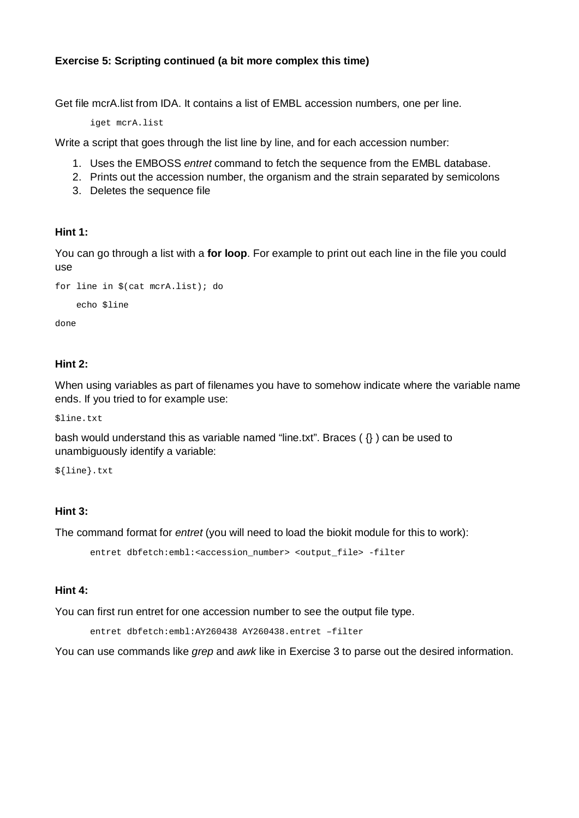### **Exercise 5: Scripting continued (a bit more complex this time)**

Get file mcrA.list from IDA. It contains a list of EMBL accession numbers, one per line.

iget mcrA.list

Write a script that goes through the list line by line, and for each accession number:

- 1. Uses the EMBOSS *entret* command to fetch the sequence from the EMBL database.
- 2. Prints out the accession number, the organism and the strain separated by semicolons
- 3. Deletes the sequence file

### **Hint 1:**

You can go through a list with a **for loop**. For example to print out each line in the file you could use

```
for line in $(cat mcrA.list); do
    echo $line
```
done

### **Hint 2:**

When using variables as part of filenames you have to somehow indicate where the variable name ends. If you tried to for example use:

\$line.txt

bash would understand this as variable named "line.txt". Braces ( {} ) can be used to unambiguously identify a variable:

\${line}.txt

### **Hint 3:**

The command format for *entret* (you will need to load the biokit module for this to work):

entret dbfetch:embl:<accession\_number> <output\_file> -filter

#### **Hint 4:**

You can first run entret for one accession number to see the output file type.

entret dbfetch:embl:AY260438 AY260438.entret –filter

You can use commands like *grep* and *awk* like in Exercise 3 to parse out the desired information.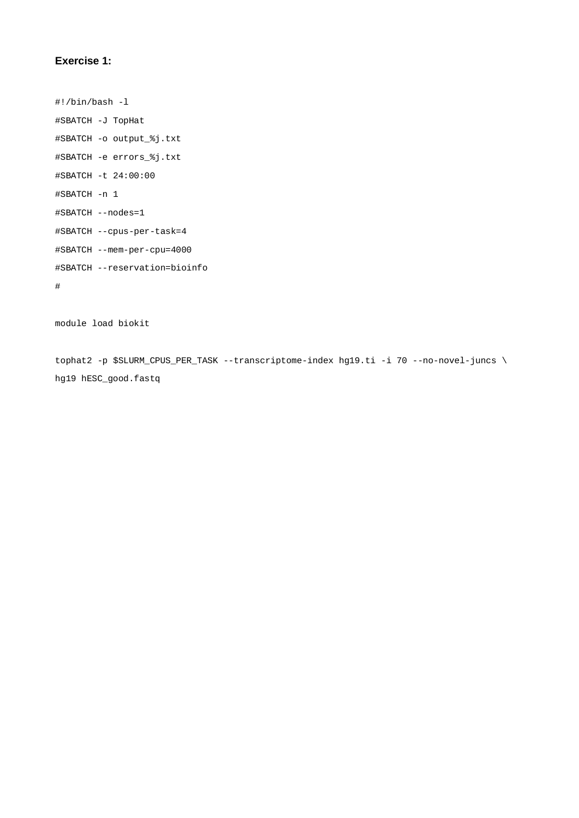### **Exercise 1:**

#!/bin/bash -l #SBATCH -J TopHat #SBATCH -o output\_%j.txt #SBATCH -e errors\_%j.txt #SBATCH -t 24:00:00 #SBATCH -n 1 #SBATCH --nodes=1 #SBATCH --cpus-per-task=4 #SBATCH --mem-per-cpu=4000 #SBATCH --reservation=bioinfo #

module load biokit

tophat2 -p \$SLURM\_CPUS\_PER\_TASK --transcriptome-index hg19.ti -i 70 --no-novel-juncs \ hg19 hESC\_good.fastq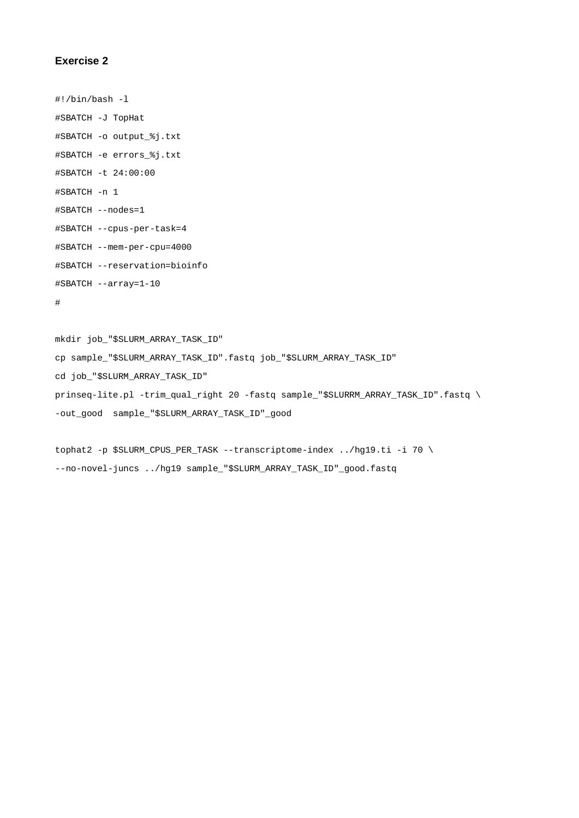#### **Exercise 2**

```
#!/bin/bash -l
#SBATCH -J TopHat
#SBATCH -o output_%j.txt
#SBATCH -e errors_%j.txt
#SBATCH -t 24:00:00
#SBATCH -n 1
#SBATCH --nodes=1
#SBATCH --cpus-per-task=4
#SBATCH --mem-per-cpu=4000
#SBATCH --reservation=bioinfo
#SBATCH --array=1-10
```

```
#
```
mkdir job\_"\$SLURM\_ARRAY\_TASK\_ID" cp sample\_"\$SLURM\_ARRAY\_TASK\_ID".fastq job\_"\$SLURM\_ARRAY\_TASK\_ID" cd job\_"\$SLURM\_ARRAY\_TASK\_ID" prinseq-lite.pl -trim\_qual\_right 20 -fastq sample\_"\$SLURRM\_ARRAY\_TASK\_ID".fastq \ -out\_good sample\_"\$SLURM\_ARRAY\_TASK\_ID"\_good

tophat2 -p \$SLURM\_CPUS\_PER\_TASK --transcriptome-index ../hg19.ti -i 70 \ --no-novel-juncs ../hg19 sample\_"\$SLURM\_ARRAY\_TASK\_ID"\_good.fastq